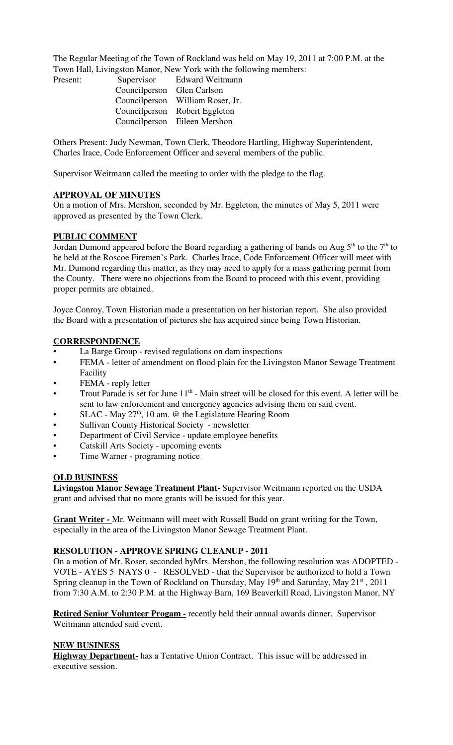The Regular Meeting of the Town of Rockland was held on May 19, 2011 at 7:00 P.M. at the Town Hall, Livingston Manor, New York with the following members:

| Present: |                            | Supervisor Edward Weitmann       |
|----------|----------------------------|----------------------------------|
|          | Councilperson Glen Carlson |                                  |
|          |                            | Councilperson William Roser, Jr. |
|          |                            | Councilperson Robert Eggleton    |
|          |                            | Councilperson Eileen Mershon     |

Others Present: Judy Newman, Town Clerk, Theodore Hartling, Highway Superintendent, Charles Irace, Code Enforcement Officer and several members of the public.

Supervisor Weitmann called the meeting to order with the pledge to the flag.

## **APPROVAL OF MINUTES**

On a motion of Mrs. Mershon, seconded by Mr. Eggleton, the minutes of May 5, 2011 were approved as presented by the Town Clerk.

#### **PUBLIC COMMENT**

Jordan Dumond appeared before the Board regarding a gathering of bands on Aug  $5<sup>th</sup>$  to the  $7<sup>th</sup>$  to be held at the Roscoe Firemen's Park. Charles Irace, Code Enforcement Officer will meet with Mr. Dumond regarding this matter, as they may need to apply for a mass gathering permit from the County. There were no objections from the Board to proceed with this event, providing proper permits are obtained.

Joyce Conroy, Town Historian made a presentation on her historian report. She also provided the Board with a presentation of pictures she has acquired since being Town Historian.

#### **CORRESPONDENCE**

- La Barge Group revised regulations on dam inspections
- FEMA letter of amendment on flood plain for the Livingston Manor Sewage Treatment Facility
- FEMA reply letter
- Trout Parade is set for June  $11<sup>th</sup>$  Main street will be closed for this event. A letter will be sent to law enforcement and emergency agencies advising them on said event.
- SLAC May  $27<sup>th</sup>$ , 10 am. @ the Legislature Hearing Room
- Sullivan County Historical Society newsletter
- Department of Civil Service update employee benefits
- Catskill Arts Society upcoming events
- Time Warner programing notice

#### **OLD BUSINESS**

**Livingston Manor Sewage Treatment Plant-** Supervisor Weitmann reported on the USDA grant and advised that no more grants will be issued for this year.

**Grant Writer -** Mr. Weitmann will meet with Russell Budd on grant writing for the Town, especially in the area of the Livingston Manor Sewage Treatment Plant.

## **RESOLUTION - APPROVE SPRING CLEANUP - 2011**

On a motion of Mr. Roser, seconded byMrs. Mershon, the following resolution was ADOPTED - VOTE - AYES 5 NAYS 0 - RESOLVED - that the Supervisor be authorized to hold a Town Spring cleanup in the Town of Rockland on Thursday, May 19<sup>th</sup> and Saturday, May 21<sup>st</sup>, 2011 from 7:30 A.M. to 2:30 P.M. at the Highway Barn, 169 Beaverkill Road, Livingston Manor, NY

**Retired Senior Volunteer Progam -** recently held their annual awards dinner. Supervisor Weitmann attended said event.

#### **NEW BUSINESS**

**Highway Department-** has a Tentative Union Contract. This issue will be addressed in executive session.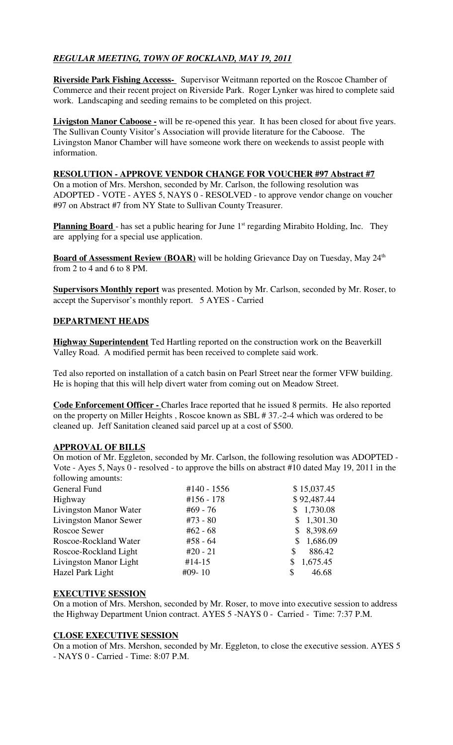# *REGULAR MEETING, TOWN OF ROCKLAND, MAY 19, 2011*

**Riverside Park Fishing Accesss-** Supervisor Weitmann reported on the Roscoe Chamber of Commerce and their recent project on Riverside Park. Roger Lynker was hired to complete said work. Landscaping and seeding remains to be completed on this project.

**Livigston Manor Caboose -** will be re-opened this year. It has been closed for about five years. The Sullivan County Visitor's Association will provide literature for the Caboose. The Livingston Manor Chamber will have someone work there on weekends to assist people with information.

## **RESOLUTION - APPROVE VENDOR CHANGE FOR VOUCHER #97 Abstract #7**

On a motion of Mrs. Mershon, seconded by Mr. Carlson, the following resolution was ADOPTED - VOTE - AYES 5, NAYS 0 - RESOLVED - to approve vendor change on voucher #97 on Abstract #7 from NY State to Sullivan County Treasurer.

**Planning Board** - has set a public hearing for June 1<sup>st</sup> regarding Mirabito Holding, Inc. They are applying for a special use application.

**Board of Assessment Review (BOAR)** will be holding Grievance Day on Tuesday, May 24<sup>th</sup> from 2 to 4 and 6 to 8 PM.

**Supervisors Monthly report** was presented. Motion by Mr. Carlson, seconded by Mr. Roser, to accept the Supervisor's monthly report. 5 AYES - Carried

## **DEPARTMENT HEADS**

**Highway Superintendent** Ted Hartling reported on the construction work on the Beaverkill Valley Road. A modified permit has been received to complete said work.

Ted also reported on installation of a catch basin on Pearl Street near the former VFW building. He is hoping that this will help divert water from coming out on Meadow Street.

**Code Enforcement Officer -** Charles Irace reported that he issued 8 permits. He also reported on the property on Miller Heights , Roscoe known as SBL # 37.-2-4 which was ordered to be cleaned up. Jeff Sanitation cleaned said parcel up at a cost of \$500.

## **APPROVAL OF BILLS**

On motion of Mr. Eggleton, seconded by Mr. Carlson, the following resolution was ADOPTED - Vote - Ayes 5, Nays 0 - resolved - to approve the bills on abstract #10 dated May 19, 2011 in the following amounts:

| General Fund                  | #140 - 1556 | \$15,037.45 |
|-------------------------------|-------------|-------------|
| Highway                       | #156 - 178  | \$92,487.44 |
| Livingston Manor Water        | #69 - 76    | \$1,730.08  |
| <b>Livingston Manor Sewer</b> | $#73 - 80$  | \$1,301.30  |
| Roscoe Sewer                  | $#62 - 68$  | \$8,398.69  |
| Roscoe-Rockland Water         | $#58 - 64$  | \$1,686.09  |
| Roscoe-Rockland Light         | $#20 - 21$  | 886.42<br>S |
| Livingston Manor Light        | $#14-15$    | 1,675.45    |
| Hazel Park Light              | $#09-10$    | 46.68<br>S  |
|                               |             |             |

## **EXECUTIVE SESSION**

On a motion of Mrs. Mershon, seconded by Mr. Roser, to move into executive session to address the Highway Department Union contract. AYES 5 -NAYS 0 - Carried - Time: 7:37 P.M.

## **CLOSE EXECUTIVE SESSION**

On a motion of Mrs. Mershon, seconded by Mr. Eggleton, to close the executive session. AYES 5 - NAYS 0 - Carried - Time: 8:07 P.M.